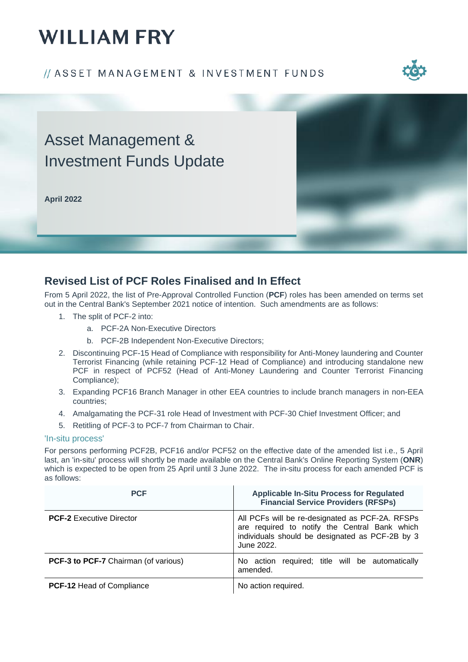# **WILLIAM FRY**

### // ASSET MANAGEMENT & INVESTMENT FUNDS



## Asset Management & Investment Funds Update

**April 2022**



### **Revised List of PCF Roles Finalised and In Effect**

From 5 April 2022, the list of Pre-Approval Controlled Function (**PCF**) roles has been amended on terms set out in the Central Bank's September 2021 notice of intention. Such amendments are as follows:

- 1. The split of PCF-2 into:
	- a. PCF-2A Non-Executive Directors
	- b. PCF-2B Independent Non-Executive Directors;
- 2. Discontinuing PCF-15 Head of Compliance with responsibility for Anti-Money laundering and Counter Terrorist Financing (while retaining PCF-12 Head of Compliance) and introducing standalone new PCF in respect of PCF52 (Head of Anti-Money Laundering and Counter Terrorist Financing Compliance);
- 3. Expanding PCF16 Branch Manager in other EEA countries to include branch managers in non-EEA countries;
- 4. Amalgamating the PCF-31 role Head of Investment with PCF-30 Chief Investment Officer; and
- 5. Retitling of PCF-3 to PCF-7 from Chairman to Chair.

#### 'In-situ process'

For persons performing PCF2B, PCF16 and/or PCF52 on the effective date of the amended list i.e., 5 April last, an 'in-situ' process will shortly be made available on the Central Bank's Online Reporting System (**ONR**) which is expected to be open from 25 April until 3 June 2022. The in-situ process for each amended PCF is as follows:

| <b>PCF</b>                                  | <b>Applicable In-Situ Process for Regulated</b><br><b>Financial Service Providers (RFSPs)</b>                                                                     |
|---------------------------------------------|-------------------------------------------------------------------------------------------------------------------------------------------------------------------|
| <b>PCF-2</b> Executive Director             | All PCFs will be re-designated as PCF-2A. RFSPs<br>are required to notify the Central Bank which<br>individuals should be designated as PCF-2B by 3<br>June 2022. |
| <b>PCF-3 to PCF-7</b> Chairman (of various) | No action required; title will be automatically<br>amended.                                                                                                       |
| <b>PCF-12 Head of Compliance</b>            | No action required.                                                                                                                                               |